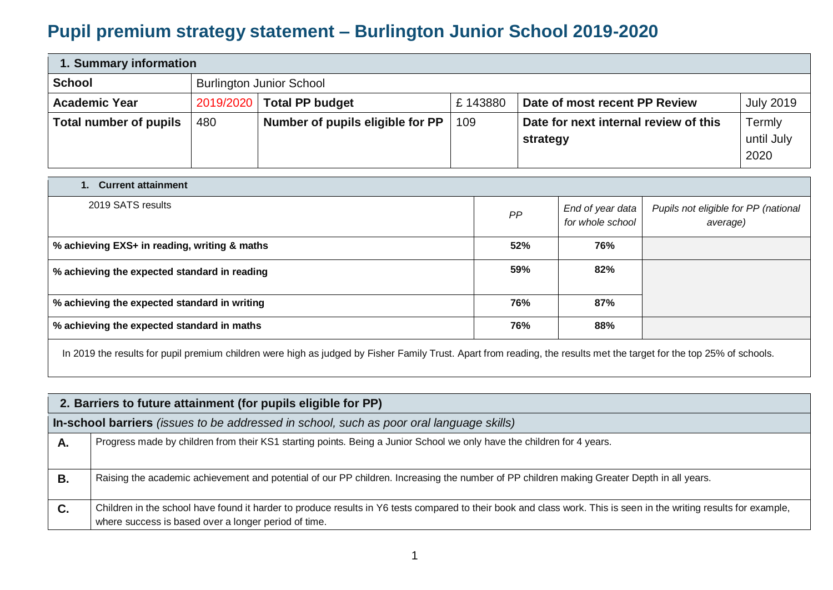## **Pupil premium strategy statement – Burlington Junior School 2019-2020**

| 1. Summary information        |                                                                                                   |                                 |         |                               |                  |  |  |
|-------------------------------|---------------------------------------------------------------------------------------------------|---------------------------------|---------|-------------------------------|------------------|--|--|
| <b>School</b>                 |                                                                                                   | <b>Burlington Junior School</b> |         |                               |                  |  |  |
| <b>Academic Year</b>          |                                                                                                   | 2019/2020   Total PP budget     | £143880 | Date of most recent PP Review | <b>July 2019</b> |  |  |
| <b>Total number of pupils</b> | Number of pupils eligible for PP<br>Date for next internal review of this<br>Termly<br>109<br>480 |                                 |         |                               |                  |  |  |
|                               |                                                                                                   |                                 |         | strategy                      | until July       |  |  |
|                               |                                                                                                   |                                 |         |                               | 2020             |  |  |

| 1. Current attainment                        |     |                                      |                                                  |  |  |  |  |  |
|----------------------------------------------|-----|--------------------------------------|--------------------------------------------------|--|--|--|--|--|
| 2019 SATS results                            | PP  | End of year data<br>for whole school | Pupils not eligible for PP (national<br>average) |  |  |  |  |  |
| % achieving EXS+ in reading, writing & maths | 52% | 76%                                  |                                                  |  |  |  |  |  |
| % achieving the expected standard in reading | 59% | 82%                                  |                                                  |  |  |  |  |  |
| % achieving the expected standard in writing | 76% | 87%                                  |                                                  |  |  |  |  |  |
| % achieving the expected standard in maths   | 76% | 88%                                  |                                                  |  |  |  |  |  |

In 2019 the results for pupil premium children were high as judged by Fisher Family Trust. Apart from reading, the results met the target for the top 25% of schools.

|    | 2. Barriers to future attainment (for pupils eligible for PP)                                                                                                                                                              |  |  |  |  |  |  |
|----|----------------------------------------------------------------------------------------------------------------------------------------------------------------------------------------------------------------------------|--|--|--|--|--|--|
|    | In-school barriers <i>(issues to be addressed in school, such as poor oral language skills)</i>                                                                                                                            |  |  |  |  |  |  |
| А. | Progress made by children from their KS1 starting points. Being a Junior School we only have the children for 4 years.                                                                                                     |  |  |  |  |  |  |
| В. | Raising the academic achievement and potential of our PP children. Increasing the number of PP children making Greater Depth in all years.                                                                                 |  |  |  |  |  |  |
| C. | Children in the school have found it harder to produce results in Y6 tests compared to their book and class work. This is seen in the writing results for example,<br>where success is based over a longer period of time. |  |  |  |  |  |  |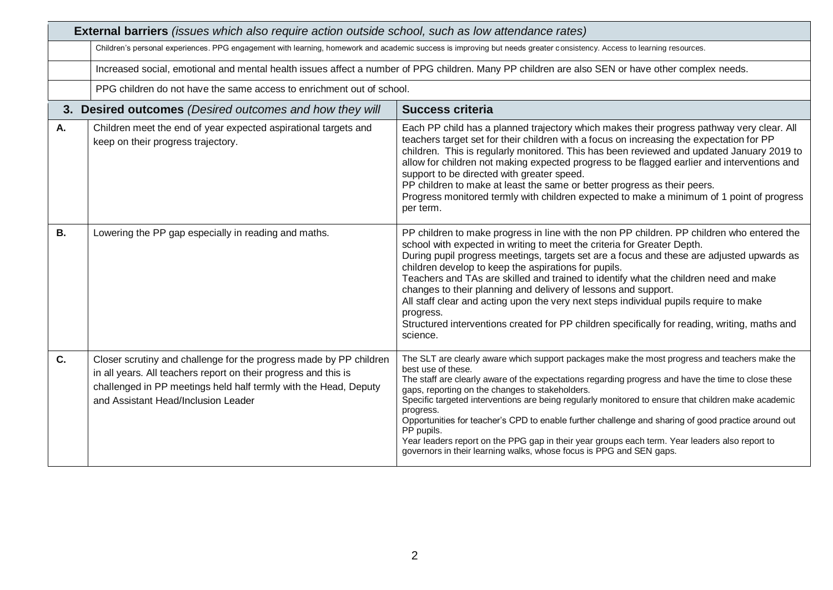|           | <b>External barriers</b> (issues which also require action outside school, such as low attendance rates)                                                                                                                                         |                                                                                                                                                                                                                                                                                                                                                                                                                                                                                                                                                                                                                                                                                                         |  |  |  |  |  |
|-----------|--------------------------------------------------------------------------------------------------------------------------------------------------------------------------------------------------------------------------------------------------|---------------------------------------------------------------------------------------------------------------------------------------------------------------------------------------------------------------------------------------------------------------------------------------------------------------------------------------------------------------------------------------------------------------------------------------------------------------------------------------------------------------------------------------------------------------------------------------------------------------------------------------------------------------------------------------------------------|--|--|--|--|--|
|           | Children's personal experiences. PPG engagement with learning, homework and academic success is improving but needs greater consistency. Access to learning resources.                                                                           |                                                                                                                                                                                                                                                                                                                                                                                                                                                                                                                                                                                                                                                                                                         |  |  |  |  |  |
|           | Increased social, emotional and mental health issues affect a number of PPG children. Many PP children are also SEN or have other complex needs.                                                                                                 |                                                                                                                                                                                                                                                                                                                                                                                                                                                                                                                                                                                                                                                                                                         |  |  |  |  |  |
|           | PPG children do not have the same access to enrichment out of school.                                                                                                                                                                            |                                                                                                                                                                                                                                                                                                                                                                                                                                                                                                                                                                                                                                                                                                         |  |  |  |  |  |
|           | 3. Desired outcomes (Desired outcomes and how they will                                                                                                                                                                                          | <b>Success criteria</b>                                                                                                                                                                                                                                                                                                                                                                                                                                                                                                                                                                                                                                                                                 |  |  |  |  |  |
| Α.        | Children meet the end of year expected aspirational targets and<br>keep on their progress trajectory.                                                                                                                                            | Each PP child has a planned trajectory which makes their progress pathway very clear. All<br>teachers target set for their children with a focus on increasing the expectation for PP<br>children. This is regularly monitored. This has been reviewed and updated January 2019 to<br>allow for children not making expected progress to be flagged earlier and interventions and<br>support to be directed with greater speed.<br>PP children to make at least the same or better progress as their peers.<br>Progress monitored termly with children expected to make a minimum of 1 point of progress<br>per term.                                                                                   |  |  |  |  |  |
| <b>B.</b> | Lowering the PP gap especially in reading and maths.                                                                                                                                                                                             | PP children to make progress in line with the non PP children. PP children who entered the<br>school with expected in writing to meet the criteria for Greater Depth.<br>During pupil progress meetings, targets set are a focus and these are adjusted upwards as<br>children develop to keep the aspirations for pupils.<br>Teachers and TAs are skilled and trained to identify what the children need and make<br>changes to their planning and delivery of lessons and support.<br>All staff clear and acting upon the very next steps individual pupils require to make<br>progress.<br>Structured interventions created for PP children specifically for reading, writing, maths and<br>science. |  |  |  |  |  |
| C.        | Closer scrutiny and challenge for the progress made by PP children<br>in all years. All teachers report on their progress and this is<br>challenged in PP meetings held half termly with the Head, Deputy<br>and Assistant Head/Inclusion Leader | The SLT are clearly aware which support packages make the most progress and teachers make the<br>best use of these.<br>The staff are clearly aware of the expectations regarding progress and have the time to close these<br>gaps, reporting on the changes to stakeholders.<br>Specific targeted interventions are being regularly monitored to ensure that children make academic<br>progress.<br>Opportunities for teacher's CPD to enable further challenge and sharing of good practice around out<br>PP pupils.<br>Year leaders report on the PPG gap in their year groups each term. Year leaders also report to<br>governors in their learning walks, whose focus is PPG and SEN gaps.         |  |  |  |  |  |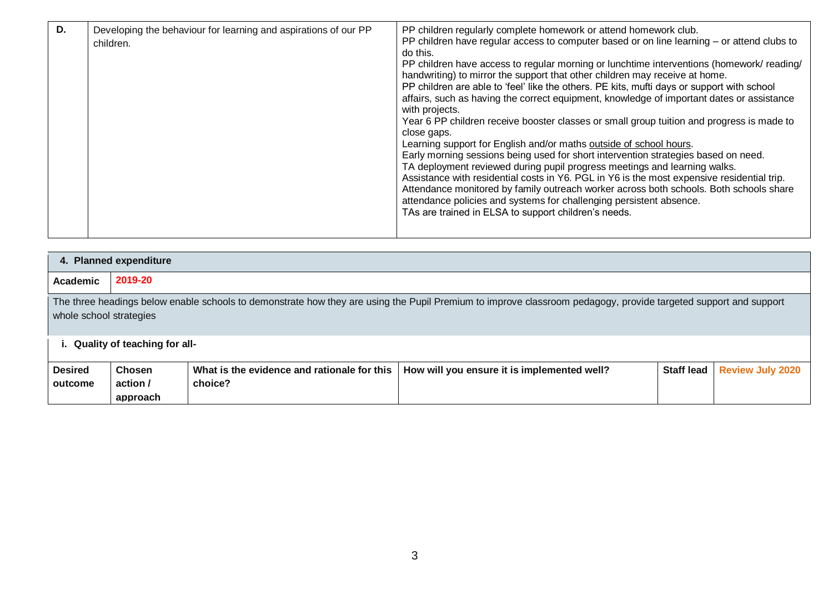| D. | Developing the behaviour for learning and aspirations of our PP<br>children. | PP children regularly complete homework or attend homework club.<br>PP children have regular access to computer based or on line learning - or attend clubs to<br>do this.<br>PP children have access to regular morning or lunchtime interventions (homework/reading/<br>handwriting) to mirror the support that other children may receive at home.<br>PP children are able to 'feel' like the others. PE kits, mufti days or support with school<br>affairs, such as having the correct equipment, knowledge of important dates or assistance<br>with projects.<br>Year 6 PP children receive booster classes or small group tuition and progress is made to<br>close gaps.<br>Learning support for English and/or maths outside of school hours.<br>Early morning sessions being used for short intervention strategies based on need.<br>TA deployment reviewed during pupil progress meetings and learning walks.<br>Assistance with residential costs in Y6. PGL in Y6 is the most expensive residential trip.<br>Attendance monitored by family outreach worker across both schools. Both schools share<br>attendance policies and systems for challenging persistent absence.<br>TAs are trained in ELSA to support children's needs. |
|----|------------------------------------------------------------------------------|------------------------------------------------------------------------------------------------------------------------------------------------------------------------------------------------------------------------------------------------------------------------------------------------------------------------------------------------------------------------------------------------------------------------------------------------------------------------------------------------------------------------------------------------------------------------------------------------------------------------------------------------------------------------------------------------------------------------------------------------------------------------------------------------------------------------------------------------------------------------------------------------------------------------------------------------------------------------------------------------------------------------------------------------------------------------------------------------------------------------------------------------------------------------------------------------------------------------------------------------|
|----|------------------------------------------------------------------------------|------------------------------------------------------------------------------------------------------------------------------------------------------------------------------------------------------------------------------------------------------------------------------------------------------------------------------------------------------------------------------------------------------------------------------------------------------------------------------------------------------------------------------------------------------------------------------------------------------------------------------------------------------------------------------------------------------------------------------------------------------------------------------------------------------------------------------------------------------------------------------------------------------------------------------------------------------------------------------------------------------------------------------------------------------------------------------------------------------------------------------------------------------------------------------------------------------------------------------------------------|

|                           | 4. Planned expenditure                                                                                                                                                                     |                                                        |                                             |                   |                         |  |  |  |  |
|---------------------------|--------------------------------------------------------------------------------------------------------------------------------------------------------------------------------------------|--------------------------------------------------------|---------------------------------------------|-------------------|-------------------------|--|--|--|--|
| <b>Academic</b>           | 2019-20                                                                                                                                                                                    |                                                        |                                             |                   |                         |  |  |  |  |
|                           | The three headings below enable schools to demonstrate how they are using the Pupil Premium to improve classroom pedagogy, provide targeted support and support<br>whole school strategies |                                                        |                                             |                   |                         |  |  |  |  |
|                           | Quality of teaching for all-                                                                                                                                                               |                                                        |                                             |                   |                         |  |  |  |  |
| <b>Desired</b><br>outcome | <b>Chosen</b><br>action /<br>approach                                                                                                                                                      | What is the evidence and rationale for this<br>choice? | How will you ensure it is implemented well? | <b>Staff lead</b> | <b>Review July 2020</b> |  |  |  |  |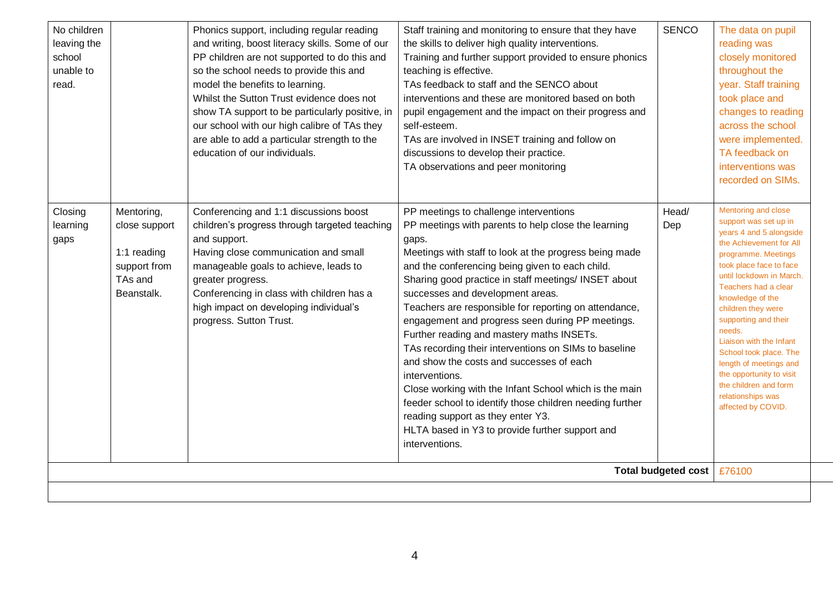| No children<br>leaving the<br>school<br>unable to<br>read. |                                                                                     | Phonics support, including regular reading<br>and writing, boost literacy skills. Some of our<br>PP children are not supported to do this and<br>so the school needs to provide this and<br>model the benefits to learning.<br>Whilst the Sutton Trust evidence does not<br>show TA support to be particularly positive, in<br>our school with our high calibre of TAs they<br>are able to add a particular strength to the<br>education of our individuals. | Staff training and monitoring to ensure that they have<br>the skills to deliver high quality interventions.<br>Training and further support provided to ensure phonics<br>teaching is effective.<br>TAs feedback to staff and the SENCO about<br>interventions and these are monitored based on both<br>pupil engagement and the impact on their progress and<br>self-esteem.<br>TAs are involved in INSET training and follow on<br>discussions to develop their practice.<br>TA observations and peer monitoring                                                                                                                                                                                                                                                                                                               | <b>SENCO</b>               | The data on pupil<br>reading was<br>closely monitored<br>throughout the<br>year. Staff training<br>took place and<br>changes to reading<br>across the school<br>were implemented.<br>TA feedback on<br>interventions was<br>recorded on SIMs.                                                                                                                                                                                                                       |
|------------------------------------------------------------|-------------------------------------------------------------------------------------|--------------------------------------------------------------------------------------------------------------------------------------------------------------------------------------------------------------------------------------------------------------------------------------------------------------------------------------------------------------------------------------------------------------------------------------------------------------|----------------------------------------------------------------------------------------------------------------------------------------------------------------------------------------------------------------------------------------------------------------------------------------------------------------------------------------------------------------------------------------------------------------------------------------------------------------------------------------------------------------------------------------------------------------------------------------------------------------------------------------------------------------------------------------------------------------------------------------------------------------------------------------------------------------------------------|----------------------------|---------------------------------------------------------------------------------------------------------------------------------------------------------------------------------------------------------------------------------------------------------------------------------------------------------------------------------------------------------------------------------------------------------------------------------------------------------------------|
| Closing<br>learning<br>gaps                                | Mentoring,<br>close support<br>1:1 reading<br>support from<br>TAs and<br>Beanstalk. | Conferencing and 1:1 discussions boost<br>children's progress through targeted teaching<br>and support.<br>Having close communication and small<br>manageable goals to achieve, leads to<br>greater progress.<br>Conferencing in class with children has a<br>high impact on developing individual's<br>progress. Sutton Trust.                                                                                                                              | PP meetings to challenge interventions<br>PP meetings with parents to help close the learning<br>gaps.<br>Meetings with staff to look at the progress being made<br>and the conferencing being given to each child.<br>Sharing good practice in staff meetings/ INSET about<br>successes and development areas.<br>Teachers are responsible for reporting on attendance,<br>engagement and progress seen during PP meetings.<br>Further reading and mastery maths INSETs.<br>TAs recording their interventions on SIMs to baseline<br>and show the costs and successes of each<br>interventions.<br>Close working with the Infant School which is the main<br>feeder school to identify those children needing further<br>reading support as they enter Y3.<br>HLTA based in Y3 to provide further support and<br>interventions. | Head/<br>Dep               | Mentoring and close<br>support was set up in<br>years 4 and 5 alongside<br>the Achievement for All<br>programme. Meetings<br>took place face to face<br>until lockdown in March.<br>Teachers had a clear<br>knowledge of the<br>children they were<br>supporting and their<br>needs.<br>Liaison with the Infant<br>School took place. The<br>length of meetings and<br>the opportunity to visit<br>the children and form<br>relationships was<br>affected by COVID. |
|                                                            |                                                                                     |                                                                                                                                                                                                                                                                                                                                                                                                                                                              |                                                                                                                                                                                                                                                                                                                                                                                                                                                                                                                                                                                                                                                                                                                                                                                                                                  | <b>Total budgeted cost</b> | £76100                                                                                                                                                                                                                                                                                                                                                                                                                                                              |
|                                                            |                                                                                     |                                                                                                                                                                                                                                                                                                                                                                                                                                                              |                                                                                                                                                                                                                                                                                                                                                                                                                                                                                                                                                                                                                                                                                                                                                                                                                                  |                            |                                                                                                                                                                                                                                                                                                                                                                                                                                                                     |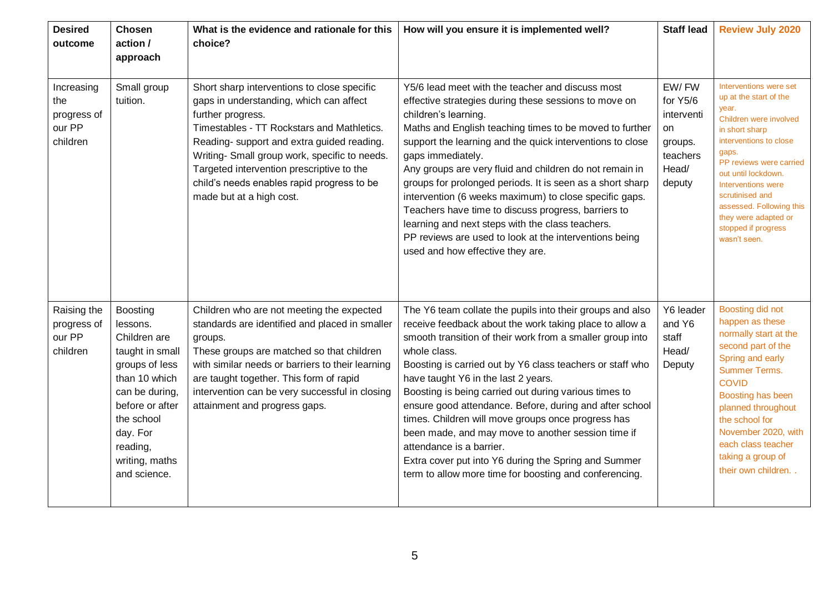| <b>Desired</b><br>outcome                              | <b>Chosen</b><br>action /<br>approach                                                                                                                                                                          | What is the evidence and rationale for this<br>choice?                                                                                                                                                                                                                                                                                                                          | How will you ensure it is implemented well?                                                                                                                                                                                                                                                                                                                                                                                                                                                                                                                                                                                                                                         | <b>Staff lead</b>                                                               | <b>Review July 2020</b>                                                                                                                                                                                                                                                                                                        |
|--------------------------------------------------------|----------------------------------------------------------------------------------------------------------------------------------------------------------------------------------------------------------------|---------------------------------------------------------------------------------------------------------------------------------------------------------------------------------------------------------------------------------------------------------------------------------------------------------------------------------------------------------------------------------|-------------------------------------------------------------------------------------------------------------------------------------------------------------------------------------------------------------------------------------------------------------------------------------------------------------------------------------------------------------------------------------------------------------------------------------------------------------------------------------------------------------------------------------------------------------------------------------------------------------------------------------------------------------------------------------|---------------------------------------------------------------------------------|--------------------------------------------------------------------------------------------------------------------------------------------------------------------------------------------------------------------------------------------------------------------------------------------------------------------------------|
| Increasing<br>the<br>progress of<br>our PP<br>children | Small group<br>tuition.                                                                                                                                                                                        | Short sharp interventions to close specific<br>gaps in understanding, which can affect<br>further progress.<br>Timestables - TT Rockstars and Mathletics.<br>Reading- support and extra guided reading.<br>Writing- Small group work, specific to needs.<br>Targeted intervention prescriptive to the<br>child's needs enables rapid progress to be<br>made but at a high cost. | Y5/6 lead meet with the teacher and discuss most<br>effective strategies during these sessions to move on<br>children's learning.<br>Maths and English teaching times to be moved to further<br>support the learning and the quick interventions to close<br>gaps immediately.<br>Any groups are very fluid and children do not remain in<br>groups for prolonged periods. It is seen as a short sharp<br>intervention (6 weeks maximum) to close specific gaps.<br>Teachers have time to discuss progress, barriers to<br>learning and next steps with the class teachers.<br>PP reviews are used to look at the interventions being<br>used and how effective they are.           | EW/FW<br>for Y5/6<br>interventi<br>on<br>groups.<br>teachers<br>Head/<br>deputy | Interventions were set<br>up at the start of the<br>year.<br>Children were involved<br>in short sharp<br>interventions to close<br>gaps.<br>PP reviews were carried<br>out until lockdown.<br>Interventions were<br>scrutinised and<br>assessed. Following this<br>they were adapted or<br>stopped if progress<br>wasn't seen. |
| Raising the<br>progress of<br>our PP<br>children       | <b>Boosting</b><br>lessons.<br>Children are<br>taught in small<br>groups of less<br>than 10 which<br>can be during,<br>before or after<br>the school<br>day. For<br>reading,<br>writing, maths<br>and science. | Children who are not meeting the expected<br>standards are identified and placed in smaller<br>groups.<br>These groups are matched so that children<br>with similar needs or barriers to their learning<br>are taught together. This form of rapid<br>intervention can be very successful in closing<br>attainment and progress gaps.                                           | The Y6 team collate the pupils into their groups and also<br>receive feedback about the work taking place to allow a<br>smooth transition of their work from a smaller group into<br>whole class.<br>Boosting is carried out by Y6 class teachers or staff who<br>have taught Y6 in the last 2 years.<br>Boosting is being carried out during various times to<br>ensure good attendance. Before, during and after school<br>times. Children will move groups once progress has<br>been made, and may move to another session time if<br>attendance is a barrier.<br>Extra cover put into Y6 during the Spring and Summer<br>term to allow more time for boosting and conferencing. | Y6 leader<br>and Y6<br>staff<br>Head/<br>Deputy                                 | Boosting did not<br>happen as these<br>normally start at the<br>second part of the<br>Spring and early<br><b>Summer Terms.</b><br><b>COVID</b><br>Boosting has been<br>planned throughout<br>the school for<br>November 2020, with<br>each class teacher<br>taking a group of<br>their own children                            |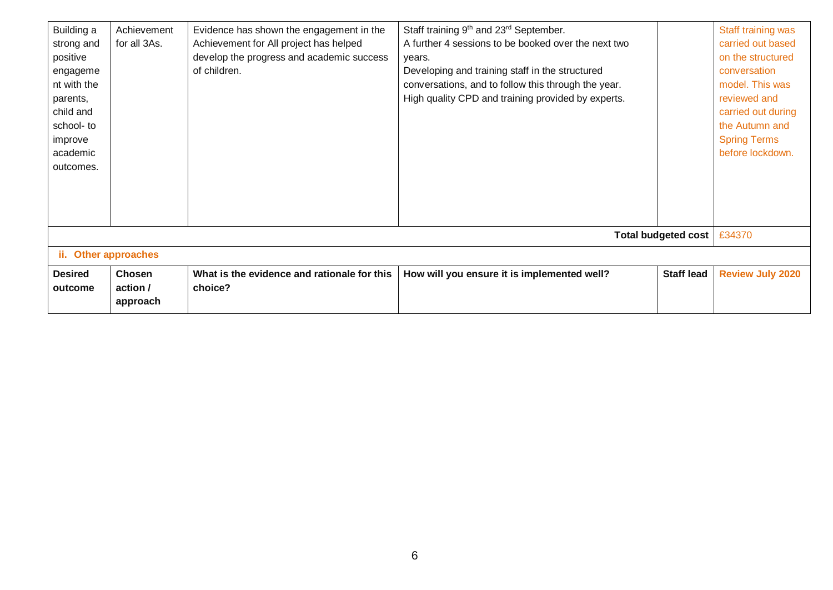| Building a           | Achievement   | Evidence has shown the engagement in the    | Staff training 9 <sup>th</sup> and 23 <sup>rd</sup> September. |                            | Staff training was      |
|----------------------|---------------|---------------------------------------------|----------------------------------------------------------------|----------------------------|-------------------------|
| strong and           | for all 3As.  | Achievement for All project has helped      | A further 4 sessions to be booked over the next two            |                            | carried out based       |
| positive             |               | develop the progress and academic success   | years.                                                         |                            | on the structured       |
| engageme             |               | of children.                                | Developing and training staff in the structured                |                            | conversation            |
| nt with the          |               |                                             | conversations, and to follow this through the year.            |                            | model. This was         |
| parents,             |               |                                             | High quality CPD and training provided by experts.             |                            | reviewed and            |
| child and            |               |                                             |                                                                |                            | carried out during      |
| school- to           |               |                                             |                                                                |                            | the Autumn and          |
| improve              |               |                                             |                                                                |                            | <b>Spring Terms</b>     |
| academic             |               |                                             |                                                                |                            | before lockdown.        |
| outcomes.            |               |                                             |                                                                |                            |                         |
|                      |               |                                             |                                                                |                            |                         |
|                      |               |                                             |                                                                |                            |                         |
|                      |               |                                             |                                                                |                            |                         |
|                      |               |                                             |                                                                |                            |                         |
|                      |               |                                             |                                                                | <b>Total budgeted cost</b> | £34370                  |
| ii. Other approaches |               |                                             |                                                                |                            |                         |
| <b>Desired</b>       | <b>Chosen</b> | What is the evidence and rationale for this | How will you ensure it is implemented well?                    | <b>Staff lead</b>          | <b>Review July 2020</b> |
| outcome              | action /      | choice?                                     |                                                                |                            |                         |
|                      | approach      |                                             |                                                                |                            |                         |
|                      |               |                                             |                                                                |                            |                         |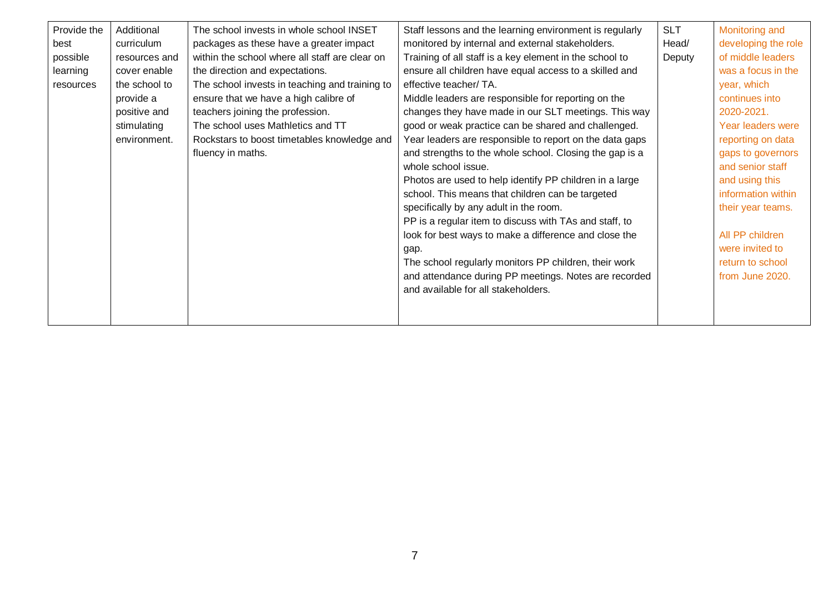| Provide the | Additional    | The school invests in whole school INSET       | Staff lessons and the learning environment is regularly | <b>SLT</b> | Monitoring and           |
|-------------|---------------|------------------------------------------------|---------------------------------------------------------|------------|--------------------------|
| best        | curriculum    | packages as these have a greater impact        | monitored by internal and external stakeholders.        | Head/      | developing the role      |
| possible    | resources and | within the school where all staff are clear on | Training of all staff is a key element in the school to | Deputy     | of middle leaders        |
| learning    | cover enable  | the direction and expectations.                | ensure all children have equal access to a skilled and  |            | was a focus in the       |
| resources   | the school to | The school invests in teaching and training to | effective teacher/ TA.                                  |            | year, which              |
|             | provide a     | ensure that we have a high calibre of          | Middle leaders are responsible for reporting on the     |            | continues into           |
|             | positive and  | teachers joining the profession.               | changes they have made in our SLT meetings. This way    |            | 2020-2021.               |
|             | stimulating   | The school uses Mathletics and TT              | good or weak practice can be shared and challenged.     |            | <b>Year leaders were</b> |
|             | environment.  | Rockstars to boost timetables knowledge and    | Year leaders are responsible to report on the data gaps |            | reporting on data        |
|             |               | fluency in maths.                              | and strengths to the whole school. Closing the gap is a |            | gaps to governors        |
|             |               |                                                | whole school issue.                                     |            | and senior staff         |
|             |               |                                                | Photos are used to help identify PP children in a large |            | and using this           |
|             |               |                                                | school. This means that children can be targeted        |            | information within       |
|             |               |                                                | specifically by any adult in the room.                  |            | their year teams.        |
|             |               |                                                | PP is a regular item to discuss with TAs and staff, to  |            |                          |
|             |               |                                                | look for best ways to make a difference and close the   |            | All PP children          |
|             |               |                                                | gap.                                                    |            | were invited to          |
|             |               |                                                | The school regularly monitors PP children, their work   |            | return to school         |
|             |               |                                                | and attendance during PP meetings. Notes are recorded   |            | from June 2020.          |
|             |               |                                                | and available for all stakeholders.                     |            |                          |
|             |               |                                                |                                                         |            |                          |
|             |               |                                                |                                                         |            |                          |